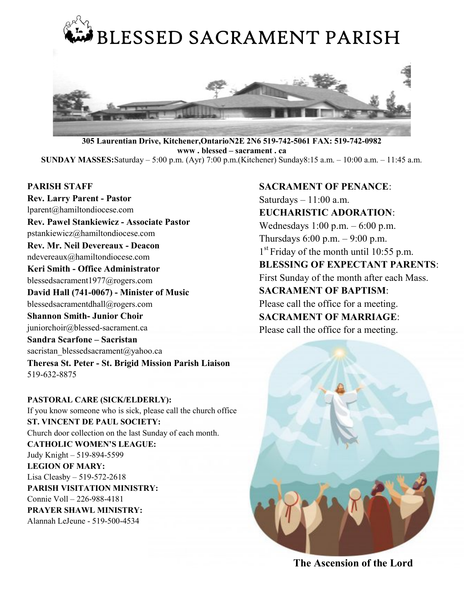

305 Laurentian Drive, Kitchener,OntarioN2E 2N6 519-742-5061 FAX: 519-742-0982 www . blessed – sacrament . ca SUNDAY MASSES:Saturday – 5:00 p.m. (Ayr) 7:00 p.m.(Kitchener) Sunday8:15 a.m. – 10:00 a.m. – 11:45 a.m.

#### PARISH STAFF

Rev. Larry Parent - Pastor lparent@hamiltondiocese.com Rev. Pawel Stankiewicz - Associate Pastor pstankiewicz@hamiltondiocese.com Rev. Mr. Neil Devereaux - Deacon ndevereaux@hamiltondiocese.com Keri Smith - Office Administrator blessedsacrament1977@rogers.com David Hall (741-0067) - Minister of Music blessedsacramentdhall@rogers.com Shannon Smith- Junior Choir juniorchoir@blessed-sacrament.ca Sandra Scarfone – Sacristan sacristan\_blessedsacrament@yahoo.ca Theresa St. Peter - St. Brigid Mission Parish Liaison 519-632-8875

PASTORAL CARE (SICK/ELDERLY): If you know someone who is sick, please call the church office ST. VINCENT DE PAUL SOCIETY: Church door collection on the last Sunday of each month. CATHOLIC WOMEN'S LEAGUE: Judy Knight – 519-894-5599 LEGION OF MARY: Lisa Cleasby – 519-572-2618 PARISH VISITATION MINISTRY: Connie Voll – 226-988-4181 PRAYER SHAWL MINISTRY: Alannah LeJeune - 519-500-4534

## SACRAMENT OF PENANCE:

Saturdays  $-11:00$  a.m. EUCHARISTIC ADORATION: Wednesdays 1:00 p.m. – 6:00 p.m. Thursdays 6:00 p.m. – 9:00 p.m. 1<sup>st</sup> Friday of the month until 10:55 p.m. BLESSING OF EXPECTANT PARENTS: First Sunday of the month after each Mass. SACRAMENT OF BAPTISM: Please call the office for a meeting. SACRAMENT OF MARRIAGE:

Please call the office for a meeting.



The Ascension of the Lord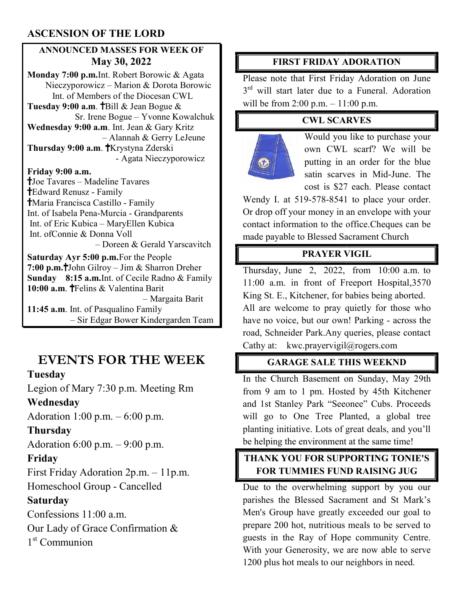## ASCENSION OF THE LORD

## ANNOUNCED MASSES FOR WEEK OF ANNOUNCED MASSES FOR May 30, 2022

Monday 7:00 p.m. Int. Robert Borowic & Agata Nieczyporowicz – Marion & Dorota Borowic Int. of Members of the Diocesan CWL Tuesday 9:00 a.m. Bill & Jean Bogue  $\&$  Sr. Irene Bogue – Yvonne Kowalchuk Wednesday 9:00 a.m. Int. Jean & Gary Kritz – Alannah & Gerry LeJeune Thursday 9:00 a.m. <sup>†</sup>Krystyna Zderski - Agata Nieczyporow Nieczyporowicz orowicz – Marion & Dorota Borowic<br>Members of the Diocesan CWL<br> **a.m. †Bill & Jean Bogue &<br>
Sr. Irene Bogue – Yvonne Kowalchuk<br>
200 a.m.** Int. Jean & Gary Kritz<br>
– Alannah & Gerry LeJeune Hay 30, 2022<br>
MAY 30, 2022<br>
Nay 7:00 p.m.l.n. Reberi Home is the Shore of the Hirst HENDAY ADORATION<br>
Hay 3:00 p.m. Post and Blue Achieve Bosses CWL<br>
Into of Monbes of the Dioessan CWL<br>
dry 9:00 p.m. The Hogae C-Vorme Kowa

#### Friday 9:00 a.m.

Joe Tavares – Madeline Tavares Edward Renusz - Family Maria Francisca Castillo - Family Int. of Isabela Pena-Murcia - Grandparents Int. of Eric Kubica – MaryEllen Kubica Int. ofConnie & Donna Voll – Doreen & Gerald Yarscavitch Yarscavitch

Saturday Ayr 5:00 p.m.For the People 7:00 p.m. John Gilroy – Jim & Sharron Dreher 7:00 p.m.†John Gilroy – Jim & Sharron Dreher<br>Sunday 8:15 a.m.Int. of Cecile Radno & Family 10:00 a.m. Felins & Valentina Barit – Margaita Barit 11:45 a.m. Int. of Pasqualino Family – Sir Edgar Bower Kindergarden Team

# EVENTS FOR THE WEEK

## Tuesday

Legion of Mary 7:30 p.m. Meeting Rm Wednesday

Adoration 1:00 p.m.  $-6:00$  p.m.

# Thursday

Adoration 6:00 p.m. – 9:00 p.m.

## Friday

First Friday Adoration 2p.m. – 11p.m. Homeschool Group - Cancelled

# **Saturday**

Confessions  $11:00$  a.m.

Our Lady of Grace Confirmation &

1<sup>st</sup> Communion

Please note that First Friday Adoration on June Please note that First Friday Adoration on June<br>3<sup>rd</sup> will start later due to a Funeral. Adoration will be from 2:00 p.m. – 11:00 p.m.

# CWL SCARVES



Would you like to purchase your own CWL scarf? We will be putting in an order for the blue satin scarves in Mid-June. The cost is \$27 each. Please contact 0 p.m. – 11:00 p.m.<br>
CWL SCARVES<br>
Would you like to purchase your<br>
own CWL scarf? We will be<br>
putting in an order for the blue<br>
satin scarves in Mid-June. The

cost is \$27 each. Please contact<br>Wendy I. at 519-578-8541 to place your order. Or drop off your money in an envelope with your Or drop off your money in an envelope with your<br>contact information to the office.Cheques can be made payable to Blessed Sacrament Church

## PRAYER VIGIL

Thursday, June 2, 2022, from 10:00 a.m. to made payable to Blessed Sacrament Church<br> **PRAYER VIGIL**<br>
Thursday, June 2, 2022, from 10:00 a.m. to<br>
11:00 a.m. in front of Freeport Hospital,3570 King St. E., Kitchener, for babies being aborted. All are welcome to pray quietly for those who King St. E., Kitchener, for babies being aborted.<br>All are welcome to pray quietly for those who<br>have no voice, but our own! Parking - across the road, Schneider Park.Any queries, please contact<br>Cathy at: kwc.prayervigil@rogers.com Cathy at: kwc.prayervigil@rogers.com

# GARAGE SALE THIS WEEKND

In the Church Basement on Sunday, May 29th from 9 am to 1 pm. Hosted by 45th Kitchener and 1st Stanley Park "Seeonee" Cubs. Proceeds will go to One Tree Planted, a global tree planting initiative. Lots of great deals, and you'll be helping the environment at the same time! In the Church Basement on Sunday, May 29th<br>from 9 am to 1 pm. Hosted by 45th Kitchener<br>and 1st Stanley Park "Seeonee" Cubs. Proceeds<br>will go to One Tree Planted, a global tree<br>planting initiative. Lots of great deals, and

# THANK YOU FOR SUPPORTING TONIE'S FOR TUMMIES FUND RAISING JUG

Due to the overwhelming support by you our parishes the Blessed Sacrament and St Mark's Men's Group have greatly exceeded our goal to prepare 200 hot, nutritious meals to be served to guests in the Ray of Hope community Centre. With your Generosity, we are now able to serve 1200 plus hot meals to our neighbors in need. Due to the overwhelming support by y<br>parishes the Blessed Sacrament and St<br>Men's Group have greatly exceeded our<br>prepare 200 hot, nutritious meals to be se<br>guests in the Ray of Hope community<br>With your Generosity, we are n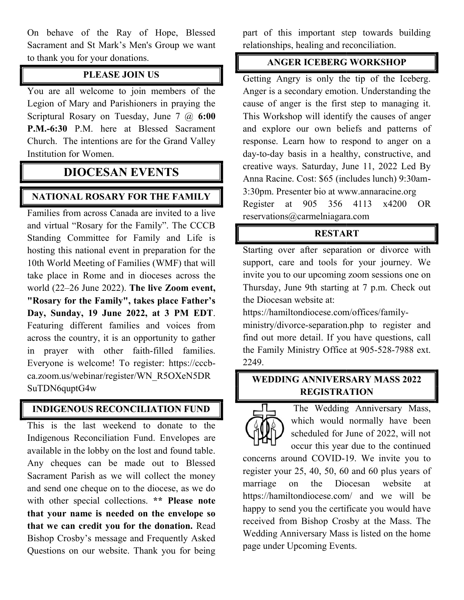On behave of the Ray of Hope, Blessed Sacrament and St Mark's Men's Group we want to thank you for your donations.

## PLEASE JOIN US

You are all welcome to join members of the Legion of Mary and Parishioners in praying the You are all welcome to join members of the<br>Legion of Mary and Parishioners in praying the<br>Scriptural Rosary on Tuesday, June 7  $\omega$  6:00 P.M.-6:30 P.M. here at Blessed Sacrament Church. The intentions are for the Grand Valley Institution for Women.

# DIOCESAN EVENTS

## NATIONAL ROSARY FOR THE FAMILY

Families from across Canada are invited to a live and virtual "Rosary for the Family". The CCCB Standing Committee for Family and Life is hosting this national event in preparation for the 10th World Meeting of Families (WMF) that will 10th World Meeting of Families (WMF) that will take place in Rome and in dioceses across the world  $(22-26$  June 2022). The live Zoom event, "Rosary for the Family", takes place Father's Day, Sunday, 19 June 2022, at 3 PM EDT . Featuring different families and voices from across the country, it is an opportunity to gather in prayer with other faith-filled families. Everyone is welcome! To register: https://cccb ca.zoom.us/webinar/register/WN\_R5OXeN5DR SuTDN6quptG4w Families from across Canada are invited to a live<br>and virtual "Rosary for the Family". The CCCB<br>Standing Committee for Family and Life is different families and voices from<br>country, it is an opportunity to gather<br>with other faith-filled families.<br>s welcome! To register: https://cccb-

## INDIGENOUS RECONCILIATION FUND

This is the last weekend to donate to the Indigenous Reconciliation Fund. Envelopes are available in the lobby on the lost and found table. Any cheques can be made out to Blessed Any cheques can be made out to Blessed<br>Sacrament Parish as we will collect the money and send one cheque on to the diocese, as we do with other special collections. \*\* Please note that your name is needed on the envelope so that we can credit you for the donation. Read Bishop Crosby's message and Frequently Asked Bishop Crosby's message and Frequently Asked<br>Questions on our website. Thank you for being part of this important step towards building part of this important step towards<br>relationships, healing and reconciliation.

#### ANGER ICEBERG WORKSHOP

Getting Angry is only the tip of the Iceberg. Anger is a secondary emotion. Understanding the cause of anger is the first step to managing it. This Workshop will identify the causes of anger and explore our own beliefs and patterns of response. Learn how to respond to anger on a day-to-day basis in a healthy, constructive, and creative ways. Saturday, June 11, 2022 Led By Anna Racine. Cost: \$65 (includes lunch) 9:30am 3:30pm. Presenter bio at www.annaracine.org<br>Register at 905 356 4113 x4200 OR Register at 905 356 4113 x4200 OR reservations@carmelniagara.com Getting Angry is only the tip of the Iceberg.<br>Anger is a secondary emotion. Understanding the<br>cause of anger is the first step to managing it.<br>This Workshop will identify the causes of anger<br>and explore our own beliefs and

## RESTART

Starting over after separation or divorce with support, care and tools for your journey. We invite you to our upcoming zoom sessions one on Thursday, June 9th starting at 7 p.m. Check out the Diocesan website at: reservations@carmelniagara.com<br> **RESTART**<br>
Starting over after separation or divorce with<br>
support, care and tools for your journey. We<br>
invite you to our upcoming zoom sessions one on<br>
Thursday, June 9th starting at 7 p.m

https://hamiltondiocese.com/offices/family ministry/divorce-separation.php to register and find out more detail. If you have questions, call the Family Ministry Office at 905-528-7988 ext. 2249. ministry/divorce-separation.php to register and<br>find out more detail. If you have questions, call<br>the Family Ministry Office at 905-528-7988 ext.

## WEDDING ANNIVERSARY MASS 2022 MASS 2022 REGISTRATION



The Wedding Anniversary Mass, which would normally have b been scheduled for June of 2022, will not occur this year due to the continued

concerns around COVID-19. We invite you to register your 25, 40, 50, 60 and 60 plus years of marriage on the Diocesan website at https://hamiltondiocese.com/ and we will be happy to send you the certificate you would have received from Bishop Crosby at the Mass. The Wedding Anniversary Mass is listed on the home page under Upcoming Events. concerns around COVID-19. We invite yo<br>register your 25, 40, 50, 60 and 60 plus year<br>marriage on the Diocesan website<br>https://hamiltondiocese.com/ and we will<br>happy to send you the certificate you would l<br>received from Bis